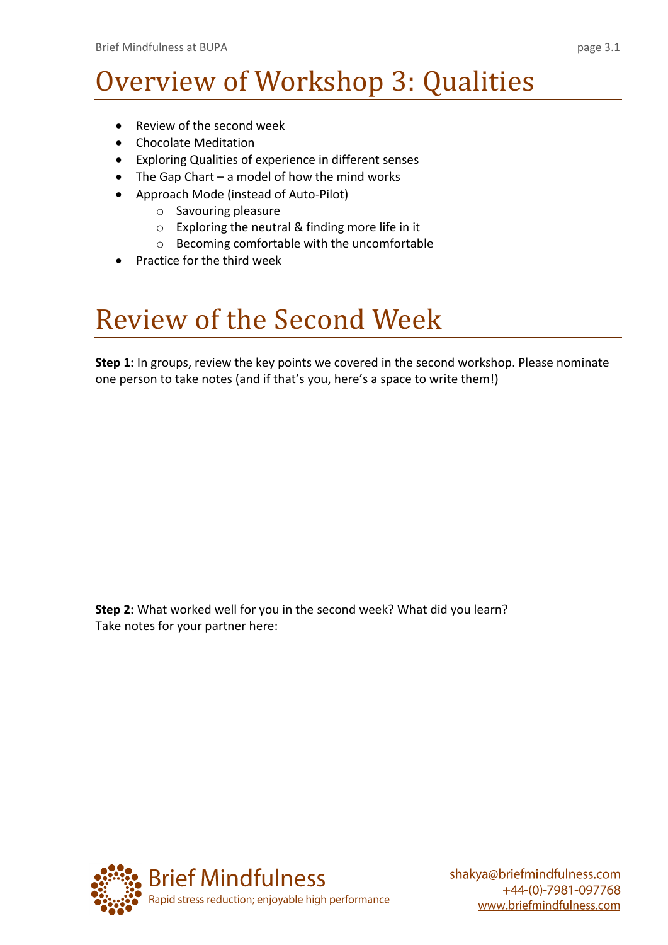# Overview of Workshop 3: Qualities

- Review of the second week
- Chocolate Meditation
- Exploring Qualities of experience in different senses
- The Gap Chart a model of how the mind works
- Approach Mode (instead of Auto-Pilot)
	- o Savouring pleasure
	- o Exploring the neutral & finding more life in it
	- o Becoming comfortable with the uncomfortable
- Practice for the third week

### Review of the Second Week

**Step 1:** In groups, review the key points we covered in the second workshop. Please nominate one person to take notes (and if that's you, here's a space to write them!)

**Step 2:** What worked well for you in the second week? What did you learn? Take notes for your partner here:

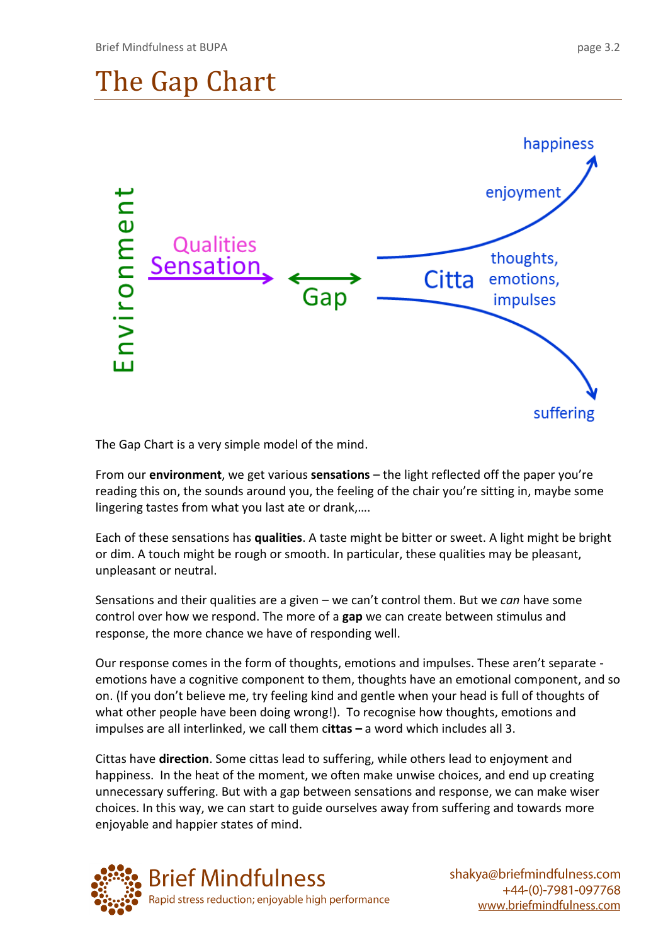

The Gap Chart is a very simple model of the mind.

From our **environment**, we get various **sensations** – the light reflected off the paper you're reading this on, the sounds around you, the feeling of the chair you're sitting in, maybe some lingering tastes from what you last ate or drank,….

Each of these sensations has **qualities**. A taste might be bitter or sweet. A light might be bright or dim. A touch might be rough or smooth. In particular, these qualities may be pleasant, unpleasant or neutral.

Sensations and their qualities are a given – we can't control them. But we *can* have some control over how we respond. The more of a **gap** we can create between stimulus and response, the more chance we have of responding well.

Our response comes in the form of thoughts, emotions and impulses. These aren't separate emotions have a cognitive component to them, thoughts have an emotional component, and so on. (If you don't believe me, try feeling kind and gentle when your head is full of thoughts of what other people have been doing wrong!). To recognise how thoughts, emotions and impulses are all interlinked, we call them c**ittas –** a word which includes all 3.

Cittas have **direction**. Some cittas lead to suffering, while others lead to enjoyment and happiness. In the heat of the moment, we often make unwise choices, and end up creating unnecessary suffering. But with a gap between sensations and response, we can make wiser choices. In this way, we can start to guide ourselves away from suffering and towards more enjoyable and happier states of mind.

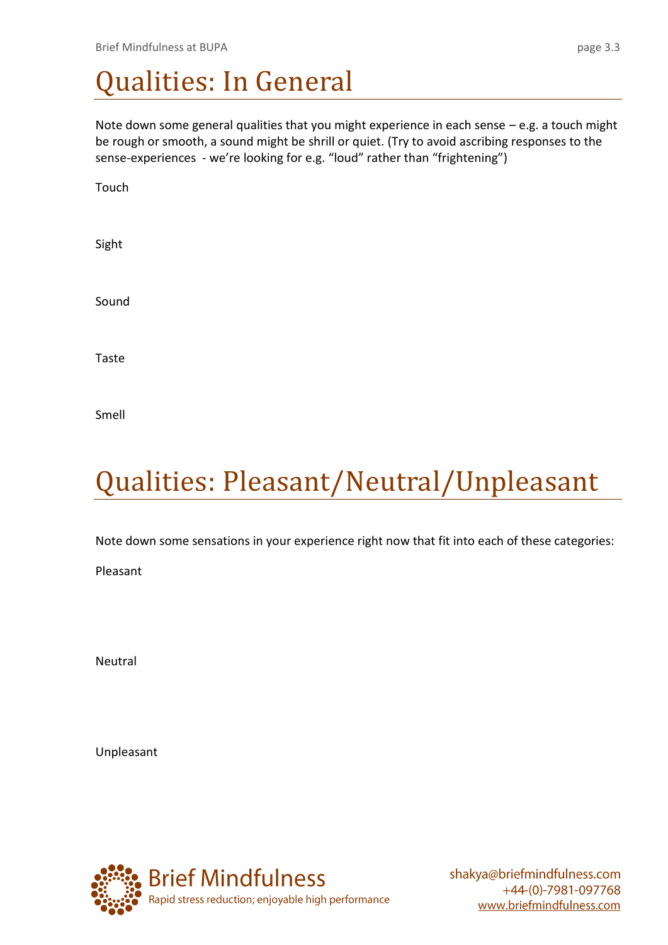### Qualities: In General

Note down some general qualities that you might experience in each sense – e.g. a touch might be rough or smooth, a sound might be shrill or quiet. (Try to avoid ascribing responses to the sense-experiences - we're looking for e.g. "loud" rather than "frightening")

Touch

Sight

Sound

Taste

Smell

# Qualities: Pleasant/Neutral/Unpleasant

Note down some sensations in your experience right now that fit into each of these categories:

Pleasant

Neutral

Unpleasant

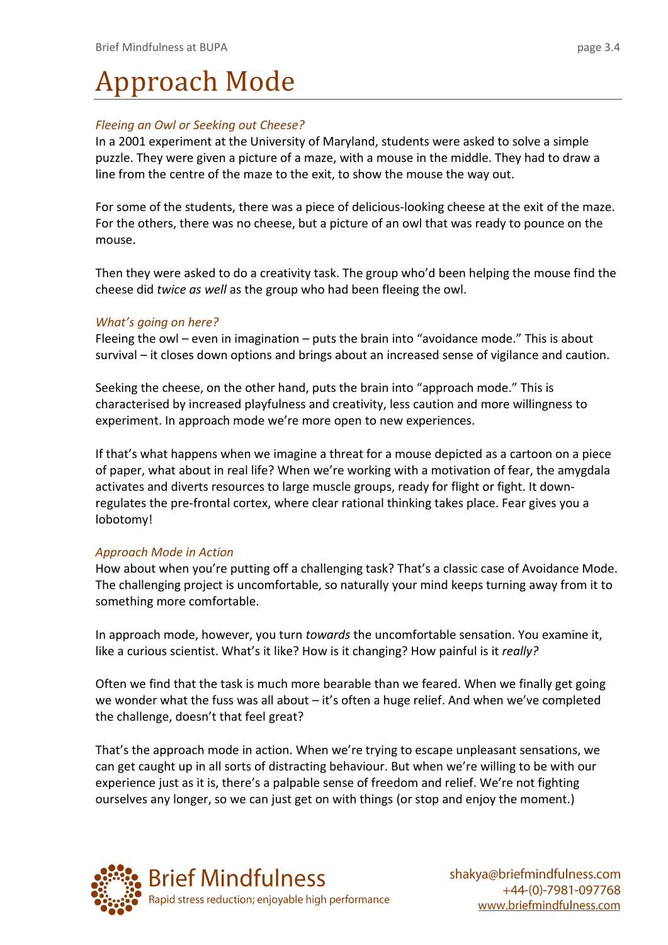# Approach Mode

#### *Fleeing an Owl or Seeking out Cheese?*

In a 2001 experiment at the University of Maryland, students were asked to solve a simple puzzle. They were given a picture of a maze, with a mouse in the middle. They had to draw a line from the centre of the maze to the exit, to show the mouse the way out.

For some of the students, there was a piece of delicious-looking cheese at the exit of the maze. For the others, there was no cheese, but a picture of an owl that was ready to pounce on the mouse.

Then they were asked to do a creativity task. The group who'd been helping the mouse find the cheese did *twice as well* as the group who had been fleeing the owl.

#### *What's going on here?*

Fleeing the owl – even in imagination – puts the brain into "avoidance mode." This is about survival – it closes down options and brings about an increased sense of vigilance and caution.

Seeking the cheese, on the other hand, puts the brain into "approach mode." This is characterised by increased playfulness and creativity, less caution and more willingness to experiment. In approach mode we're more open to new experiences.

If that's what happens when we imagine a threat for a mouse depicted as a cartoon on a piece of paper, what about in real life? When we're working with a motivation of fear, the amygdala activates and diverts resources to large muscle groups, ready for flight or fight. It downregulates the pre-frontal cortex, where clear rational thinking takes place. Fear gives you a lobotomy!

#### *Approach Mode in Action*

How about when you're putting off a challenging task? That's a classic case of Avoidance Mode. The challenging project is uncomfortable, so naturally your mind keeps turning away from it to something more comfortable.

In approach mode, however, you turn *towards* the uncomfortable sensation. You examine it, like a curious scientist. What's it like? How is it changing? How painful is it *really?*

Often we find that the task is much more bearable than we feared. When we finally get going we wonder what the fuss was all about – it's often a huge relief. And when we've completed the challenge, doesn't that feel great?

That's the approach mode in action. When we're trying to escape unpleasant sensations, we can get caught up in all sorts of distracting behaviour. But when we're willing to be with our experience just as it is, there's a palpable sense of freedom and relief. We're not fighting ourselves any longer, so we can just get on with things (or stop and enjoy the moment.)

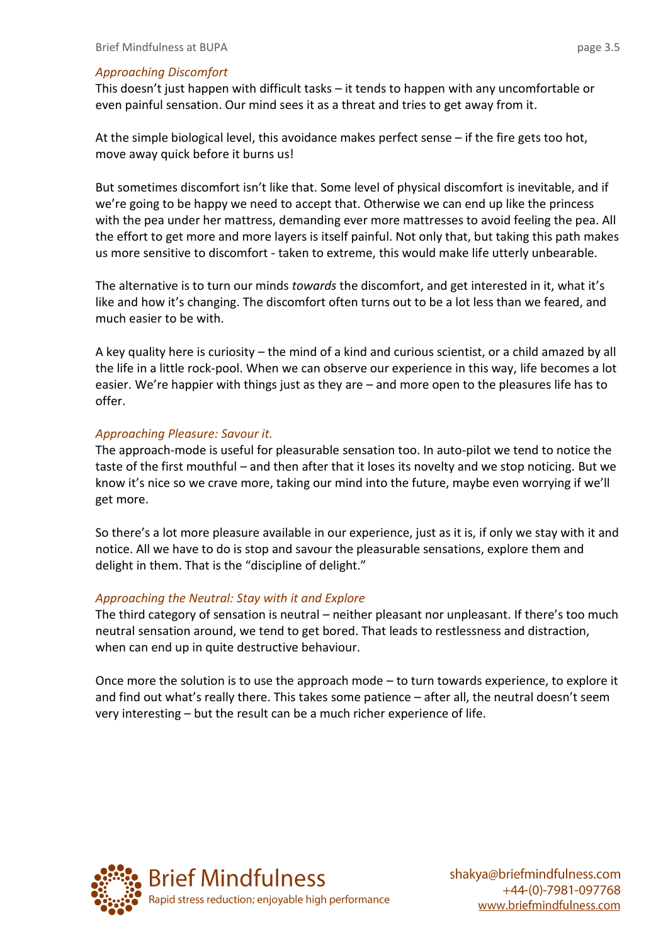#### *Approaching Discomfort*

This doesn't just happen with difficult tasks – it tends to happen with any uncomfortable or even painful sensation. Our mind sees it as a threat and tries to get away from it.

At the simple biological level, this avoidance makes perfect sense – if the fire gets too hot, move away quick before it burns us!

But sometimes discomfort isn't like that. Some level of physical discomfort is inevitable, and if we're going to be happy we need to accept that. Otherwise we can end up like the princess with the pea under her mattress, demanding ever more mattresses to avoid feeling the pea. All the effort to get more and more layers is itself painful. Not only that, but taking this path makes us more sensitive to discomfort - taken to extreme, this would make life utterly unbearable.

The alternative is to turn our minds *towards* the discomfort, and get interested in it, what it's like and how it's changing. The discomfort often turns out to be a lot less than we feared, and much easier to be with.

A key quality here is curiosity – the mind of a kind and curious scientist, or a child amazed by all the life in a little rock-pool. When we can observe our experience in this way, life becomes a lot easier. We're happier with things just as they are – and more open to the pleasures life has to offer.

#### *Approaching Pleasure: Savour it.*

The approach-mode is useful for pleasurable sensation too. In auto-pilot we tend to notice the taste of the first mouthful – and then after that it loses its novelty and we stop noticing. But we know it's nice so we crave more, taking our mind into the future, maybe even worrying if we'll get more.

So there's a lot more pleasure available in our experience, just as it is, if only we stay with it and notice. All we have to do is stop and savour the pleasurable sensations, explore them and delight in them. That is the "discipline of delight."

#### *Approaching the Neutral: Stay with it and Explore*

The third category of sensation is neutral – neither pleasant nor unpleasant. If there's too much neutral sensation around, we tend to get bored. That leads to restlessness and distraction, when can end up in quite destructive behaviour.

Once more the solution is to use the approach mode – to turn towards experience, to explore it and find out what's really there. This takes some patience – after all, the neutral doesn't seem very interesting – but the result can be a much richer experience of life.

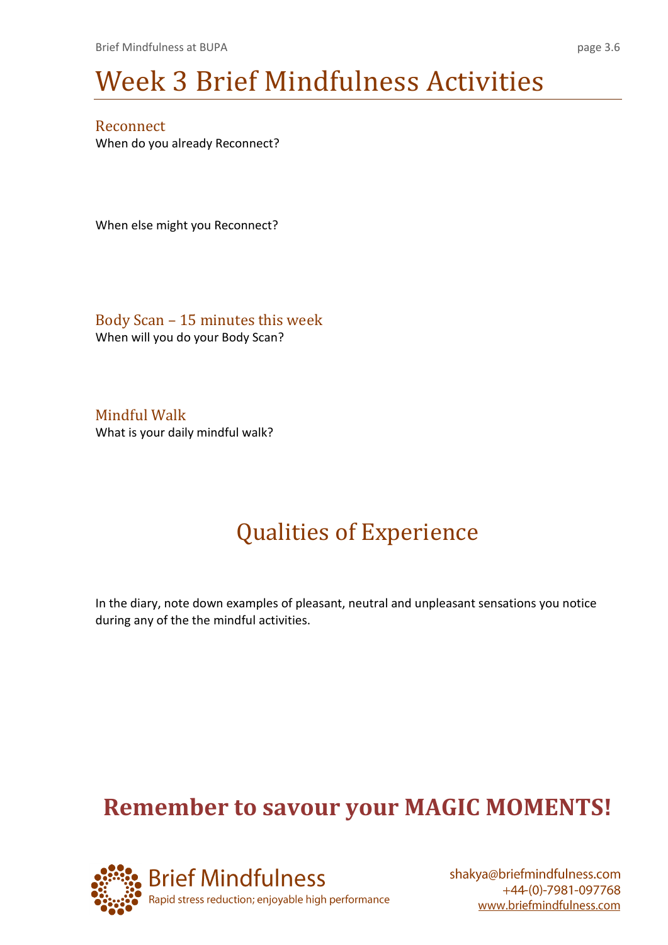# Week 3 Brief Mindfulness Activities

Reconnect When do you already Reconnect?

When else might you Reconnect?

Body Scan – 15 minutes this week When will you do your Body Scan?

Mindful Walk What is your daily mindful walk?

### Qualities of Experience

In the diary, note down examples of pleasant, neutral and unpleasant sensations you notice during any of the the mindful activities.

### **Remember to savour your MAGIC MOMENTS!**

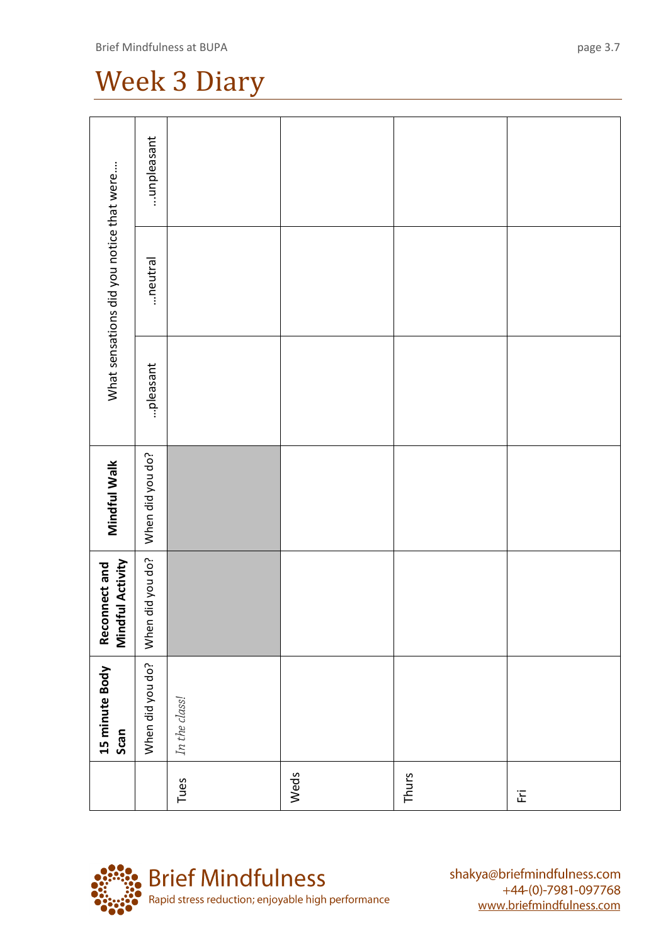### Week 3 Diary

| What sensations did you notice that were  | unpleasant       |               |      |       |                            |
|-------------------------------------------|------------------|---------------|------|-------|----------------------------|
|                                           | neutral          |               |      |       |                            |
|                                           | pleasant         |               |      |       |                            |
| Mindful Walk                              | When did you do? |               |      |       |                            |
| <b>Reconnect and<br/>Mindful Activity</b> | When did you do? |               |      |       |                            |
| 15 minute Body<br>Scan                    | When did you do? | In the class! |      |       |                            |
|                                           |                  | Tues          | Weds | Thurs | $\overleftarrow{\text{E}}$ |